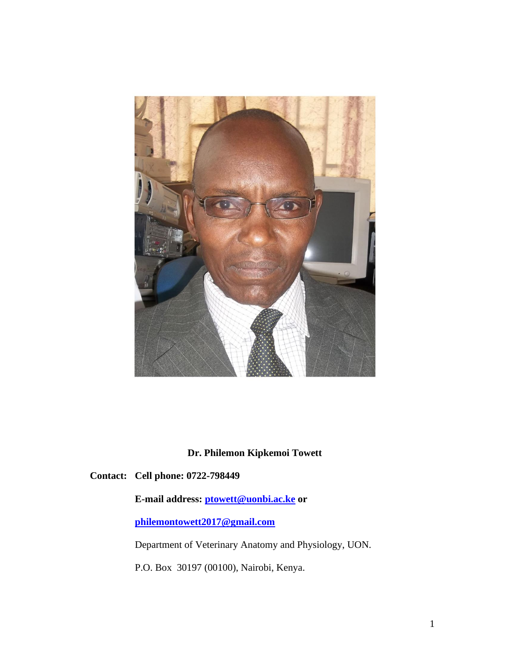

**Dr. Philemon Kipkemoi Towett**

**Contact: Cell phone: 0722-798449**

**E-mail address: [ptowett@uonbi.ac.ke](mailto:ptowett@uonbi.ac.ke) or** 

**[philemontowett2017@gmail.com](mailto:philemontowett2017@gmail.com)**

Department of Veterinary Anatomy and Physiology, UON.

P.O. Box 30197 (00100), Nairobi, Kenya.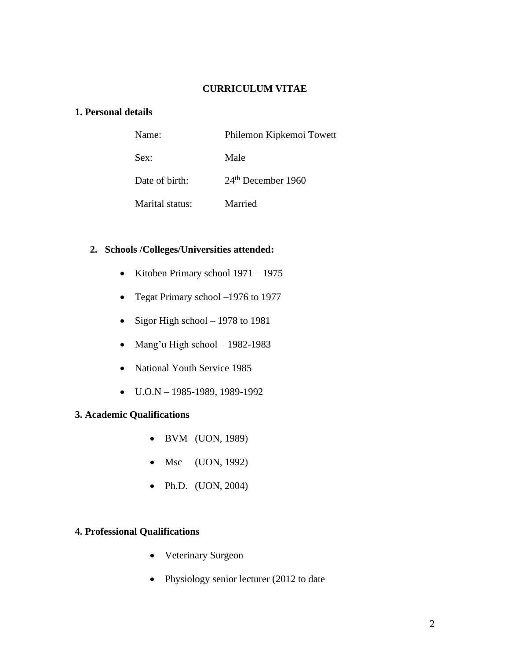## **CURRICULUM VITAE**

## **1. Personal details**

| Name:           | Philemon Kipkemoi Towett |
|-----------------|--------------------------|
| Sex:            | Male                     |
| Date of birth:  | $24th$ December 1960     |
| Marital status: | Married                  |

## **2. Schools /Colleges/Universities attended:**

- Kitoben Primary school 1971 1975
- Tegat Primary school –1976 to 1977
- Sigor High school  $-1978$  to 1981
- Mang'u High school 1982-1983
- National Youth Service 1985
- $\bullet$  U.O.N 1985-1989, 1989-1992

# **3. Academic Qualifications**

- BVM (UON, 1989)
- Msc (UON, 1992)
- Ph.D. (UON, 2004)

# **4. Professional Qualifications**

- Veterinary Surgeon
- Physiology senior lecturer (2012 to date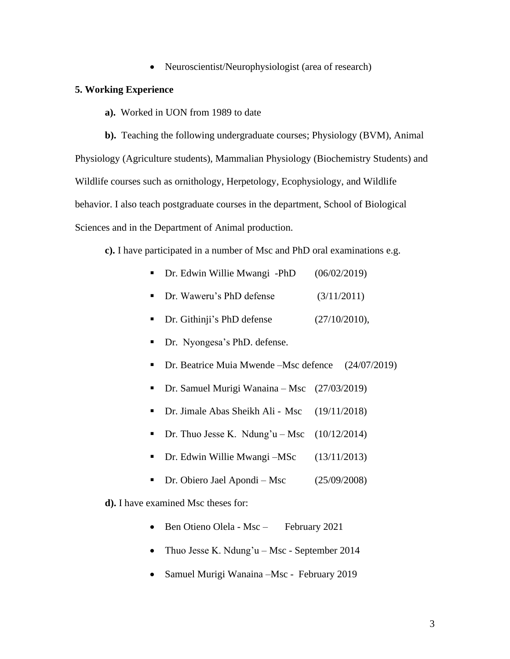• Neuroscientist/Neurophysiologist (area of research)

#### **5. Working Experience**

**a).** Worked in UON from 1989 to date

**b).** Teaching the following undergraduate courses; Physiology (BVM), Animal Physiology (Agriculture students), Mammalian Physiology (Biochemistry Students) and Wildlife courses such as ornithology, Herpetology, Ecophysiology, and Wildlife behavior. I also teach postgraduate courses in the department, School of Biological Sciences and in the Department of Animal production.

**c).** I have participated in a number of Msc and PhD oral examinations e.g.

■ Dr. Edwin Willie Mwangi -PhD (06/02/2019)

|  | Dr. Waweru's PhD defense | (3/11/2011) |
|--|--------------------------|-------------|
|--|--------------------------|-------------|

- Dr. Githinji's PhD defense (27/10/2010),
- Dr. Nyongesa's PhD. defense.
- Dr. Beatrice Muia Mwende –Msc defence (24/07/2019)
- Dr. Samuel Murigi Wanaina Msc (27/03/2019)
- Dr. Jimale Abas Sheikh Ali Msc (19/11/2018)
- **•** Dr. Thuo Jesse K. Ndung'u Msc  $(10/12/2014)$
- Dr. Edwin Willie Mwangi –MSc (13/11/2013)
- Dr. Obiero Jael Apondi Msc (25/09/2008)
- **d).** I have examined Msc theses for:
	- Ben Otieno Olela Msc February 2021
	- Thuo Jesse K. Ndung'u Msc September 2014
	- Samuel Murigi Wanaina –Msc February 2019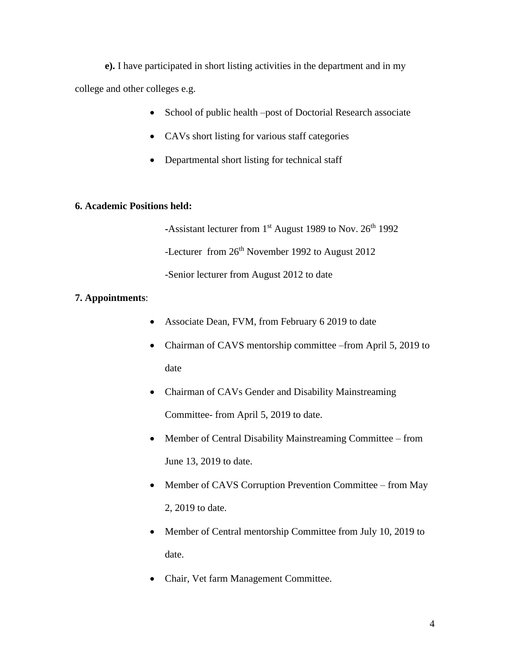**e).** I have participated in short listing activities in the department and in my college and other colleges e.g.

- School of public health –post of Doctorial Research associate
- CAVs short listing for various staff categories
- Departmental short listing for technical staff

#### **6. Academic Positions held:**

-Assistant lecturer from 1<sup>st</sup> August 1989 to Nov. 26<sup>th</sup> 1992 -Lecturer from 26<sup>th</sup> November 1992 to August 2012 -Senior lecturer from August 2012 to date

#### **7. Appointments**:

- Associate Dean, FVM, from February 6 2019 to date
- Chairman of CAVS mentorship committee –from April 5, 2019 to date
- Chairman of CAVs Gender and Disability Mainstreaming Committee- from April 5, 2019 to date.
- Member of Central Disability Mainstreaming Committee from June 13, 2019 to date.
- Member of CAVS Corruption Prevention Committee from May 2, 2019 to date.
- Member of Central mentorship Committee from July 10, 2019 to date.
- Chair, Vet farm Management Committee.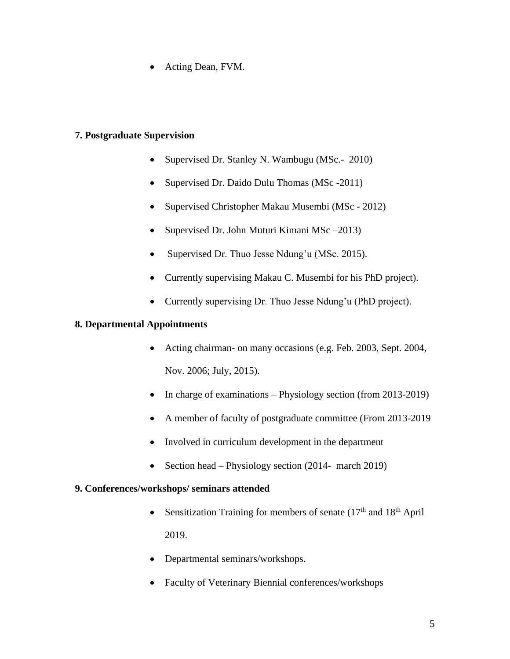• Acting Dean, FVM.

## **7. Postgraduate Supervision**

- Supervised Dr. Stanley N. Wambugu (MSc.- 2010)
- Supervised Dr. Daido Dulu Thomas (MSc -2011)
- Supervised Christopher Makau Musembi (MSc 2012)
- Supervised Dr. John Muturi Kimani MSc 2013)
- Supervised Dr. Thuo Jesse Ndung'u (MSc. 2015).
- Currently supervising Makau C. Musembi for his PhD project).
- Currently supervising Dr. Thuo Jesse Ndung'u (PhD project).

#### **8. Departmental Appointments**

- Acting chairman- on many occasions (e.g. Feb. 2003, Sept. 2004, Nov. 2006; July, 2015).
- In charge of examinations Physiology section (from 2013-2019)
- A member of faculty of postgraduate committee (From 2013-2019
- Involved in curriculum development in the department
- Section head Physiology section (2014- march 2019)

#### **9. Conferences/workshops/ seminars attended**

- Sensitization Training for members of senate  $(17<sup>th</sup>$  and  $18<sup>th</sup>$  April 2019.
- Departmental seminars/workshops.
- Faculty of Veterinary Biennial conferences/workshops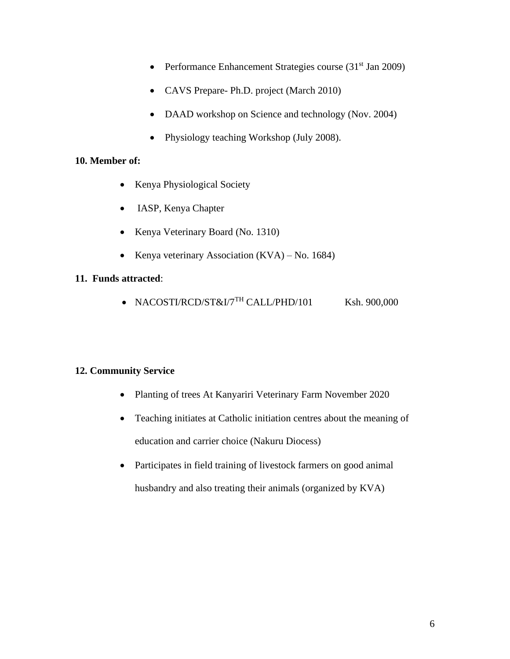- Performance Enhancement Strategies course  $(31<sup>st</sup>$  Jan 2009)
- CAVS Prepare- Ph.D. project (March 2010)
- DAAD workshop on Science and technology (Nov. 2004)
- Physiology teaching Workshop (July 2008).

## **10. Member of:**

- Kenya Physiological Society
- IASP, Kenya Chapter
- Kenya Veterinary Board (No. 1310)
- Kenya veterinary Association (KVA) No. 1684)

## **11. Funds attracted**:

• NACOSTI/RCD/ST&I/7 $^{TH}$ CALL/PHD/101 Ksh. 900,000

# **12. Community Service**

- Planting of trees At Kanyariri Veterinary Farm November 2020
- Teaching initiates at Catholic initiation centres about the meaning of education and carrier choice (Nakuru Diocess)
- Participates in field training of livestock farmers on good animal husbandry and also treating their animals (organized by KVA)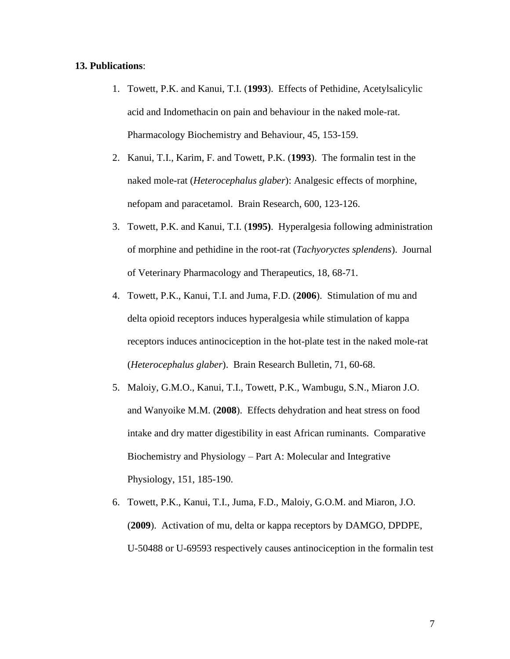#### **13. Publications**:

- 1. Towett, P.K. and Kanui, T.I. (**1993**). Effects of Pethidine, Acetylsalicylic acid and Indomethacin on pain and behaviour in the naked mole-rat. Pharmacology Biochemistry and Behaviour, 45, 153-159.
- 2. Kanui, T.I., Karim, F. and Towett, P.K. (**1993**). The formalin test in the naked mole-rat (*Heterocephalus glaber*): Analgesic effects of morphine, nefopam and paracetamol. Brain Research, 600, 123-126.
- 3. Towett, P.K. and Kanui, T.I. (**1995)**. Hyperalgesia following administration of morphine and pethidine in the root-rat (*Tachyoryctes splendens*). Journal of Veterinary Pharmacology and Therapeutics, 18, 68-71.
- 4. Towett, P.K., Kanui, T.I. and Juma, F.D. (**2006**). Stimulation of mu and delta opioid receptors induces hyperalgesia while stimulation of kappa receptors induces antinociception in the hot-plate test in the naked mole-rat (*Heterocephalus glaber*). Brain Research Bulletin, 71, 60-68.
- 5. Maloiy, G.M.O., Kanui, T.I., Towett, P.K., Wambugu, S.N., Miaron J.O. and Wanyoike M.M. (**2008**). Effects dehydration and heat stress on food intake and dry matter digestibility in east African ruminants. Comparative Biochemistry and Physiology – Part A: Molecular and Integrative Physiology, 151, 185-190.
- 6. Towett, P.K., Kanui, T.I., Juma, F.D., Maloiy, G.O.M. and Miaron, J.O. (**2009**). Activation of mu, delta or kappa receptors by DAMGO, DPDPE, U-50488 or U-69593 respectively causes antinociception in the formalin test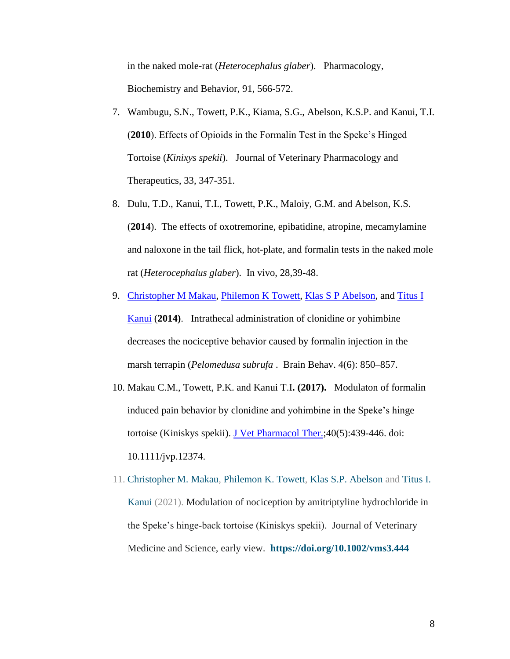in the naked mole-rat (*Heterocephalus glaber*). Pharmacology, Biochemistry and Behavior, 91, 566-572.

- 7. Wambugu, S.N., Towett, P.K., Kiama, S.G., Abelson, K.S.P. and Kanui, T.I. (**2010**). Effects of Opioids in the Formalin Test in the Speke's Hinged Tortoise (*Kinixys spekii*). Journal of Veterinary Pharmacology and Therapeutics, 33, 347-351.
- 8. Dulu, T.D., Kanui, T.I., Towett, P.K., Maloiy, G.M. and Abelson, K.S. (**2014**). The effects of oxotremorine, epibatidine, atropine, mecamylamine and naloxone in the tail flick, hot-plate, and formalin tests in the naked mole rat (*Heterocephalus glaber*). In vivo, 28,39-48.
- 9. [Christopher M Makau,](http://www.ncbi.nlm.nih.gov/pubmed/?term=Makau%20CM%5Bauth%5D) [Philemon K](http://www.ncbi.nlm.nih.gov/pubmed/?term=Towett%20PK%5Bauth%5D) Towett, [Klas S P Abelson,](http://www.ncbi.nlm.nih.gov/pubmed/?term=Abelson%20KS%5Bauth%5D) and Titus I [Kanui](http://www.ncbi.nlm.nih.gov/pubmed/?term=Kanui%20TI%5Bauth%5D) (**2014)**. Intrathecal administration of clonidine or yohimbine decreases the nociceptive behavior caused by formalin injection in the marsh terrapin (*Pelomedusa subrufa* . Brain Behav. 4(6): 850–857.
- 10. Makau C.M., Towett, P.K. and Kanui T.I**. (2017).** Modulaton of formalin induced pain behavior by clonidine and yohimbine in the Speke's hinge tortoise (Kiniskys spekii). [J Vet Pharmacol Ther.;](https://www.ncbi.nlm.nih.gov/pubmed/27891620) 40(5): 439-446. doi: 10.1111/jvp.12374.
- 11. [Christopher M. Makau,](https://onlinelibrary.wiley.com/action/doSearch?ContribAuthorStored=Makau%2C+Christopher+M) [Philemon K. Towett,](https://onlinelibrary.wiley.com/action/doSearch?ContribAuthorStored=Towett%2C+Philemon+K) [Klas S.P. Abelson](https://onlinelibrary.wiley.com/action/doSearch?ContribAuthorStored=Abelson%2C+Klas+SP) and [Titus I.](https://onlinelibrary.wiley.com/action/doSearch?ContribAuthorStored=Kanui%2C+Titus+I)  [Kanui](https://onlinelibrary.wiley.com/action/doSearch?ContribAuthorStored=Kanui%2C+Titus+I) (2021). Modulation of nociception by amitriptyline hydrochloride in the Speke's hinge‐back tortoise (Kiniskys spekii). Journal of Veterinary Medicine and Science, early view. **<https://doi.org/10.1002/vms3.444>**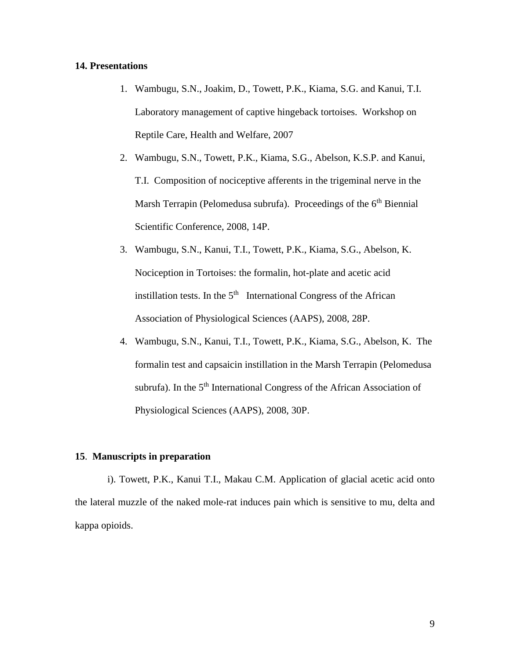#### **14. Presentations**

- 1. Wambugu, S.N., Joakim, D., Towett, P.K., Kiama, S.G. and Kanui, T.I. Laboratory management of captive hingeback tortoises. Workshop on Reptile Care, Health and Welfare, 2007
- 2. Wambugu, S.N., Towett, P.K., Kiama, S.G., Abelson, K.S.P. and Kanui, T.I. Composition of nociceptive afferents in the trigeminal nerve in the Marsh Terrapin (Pelomedusa subrufa). Proceedings of the 6<sup>th</sup> Biennial Scientific Conference, 2008, 14P.
- 3. Wambugu, S.N., Kanui, T.I., Towett, P.K., Kiama, S.G., Abelson, K. Nociception in Tortoises: the formalin, hot-plate and acetic acid instillation tests. In the  $5<sup>th</sup>$  International Congress of the African Association of Physiological Sciences (AAPS), 2008, 28P.
- 4. Wambugu, S.N., Kanui, T.I., Towett, P.K., Kiama, S.G., Abelson, K. The formalin test and capsaicin instillation in the Marsh Terrapin (Pelomedusa subrufa). In the 5<sup>th</sup> International Congress of the African Association of Physiological Sciences (AAPS), 2008, 30P.

#### **15**. **Manuscripts in preparation**

i). Towett, P.K., Kanui T.I., Makau C.M. Application of glacial acetic acid onto the lateral muzzle of the naked mole-rat induces pain which is sensitive to mu, delta and kappa opioids.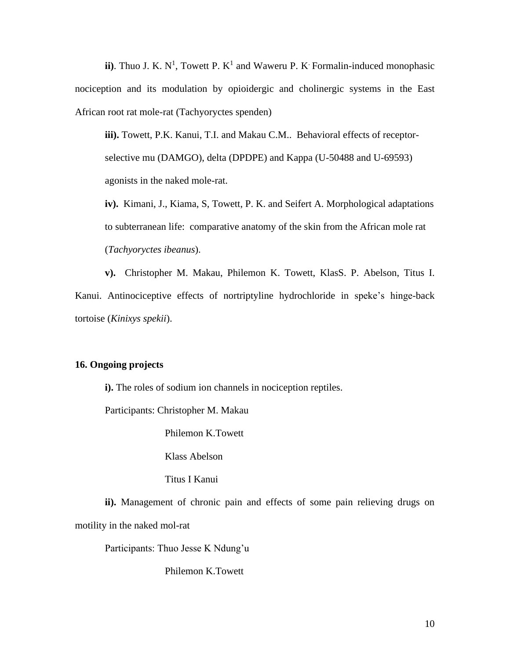ii). Thuo J. K.  $N^1$ , Towett P.  $K^1$  and Waweru P. K Formalin-induced monophasic nociception and its modulation by opioidergic and cholinergic systems in the East African root rat mole-rat (Tachyoryctes spenden)

**iii).** Towett, P.K. Kanui, T.I. and Makau C.M.. Behavioral effects of receptorselective mu (DAMGO), delta (DPDPE) and Kappa (U-50488 and U-69593) agonists in the naked mole-rat.

**iv).** Kimani, J., Kiama, S, Towett, P. K. and Seifert A. Morphological adaptations to subterranean life: comparative anatomy of the skin from the African mole rat (*Tachyoryctes ibeanus*).

**v).** Christopher M. Makau, Philemon K. Towett, KlasS. P. Abelson, Titus I. Kanui. Antinociceptive effects of nortriptyline hydrochloride in speke's hinge-back tortoise (*Kinixys spekii*).

#### **16. Ongoing projects**

**i).** The roles of sodium ion channels in nociception reptiles.

Participants: Christopher M. Makau

Philemon K.Towett

Klass Abelson

Titus I Kanui

**ii).** Management of chronic pain and effects of some pain relieving drugs on motility in the naked mol-rat

Participants: Thuo Jesse K Ndung'u

Philemon K.Towett